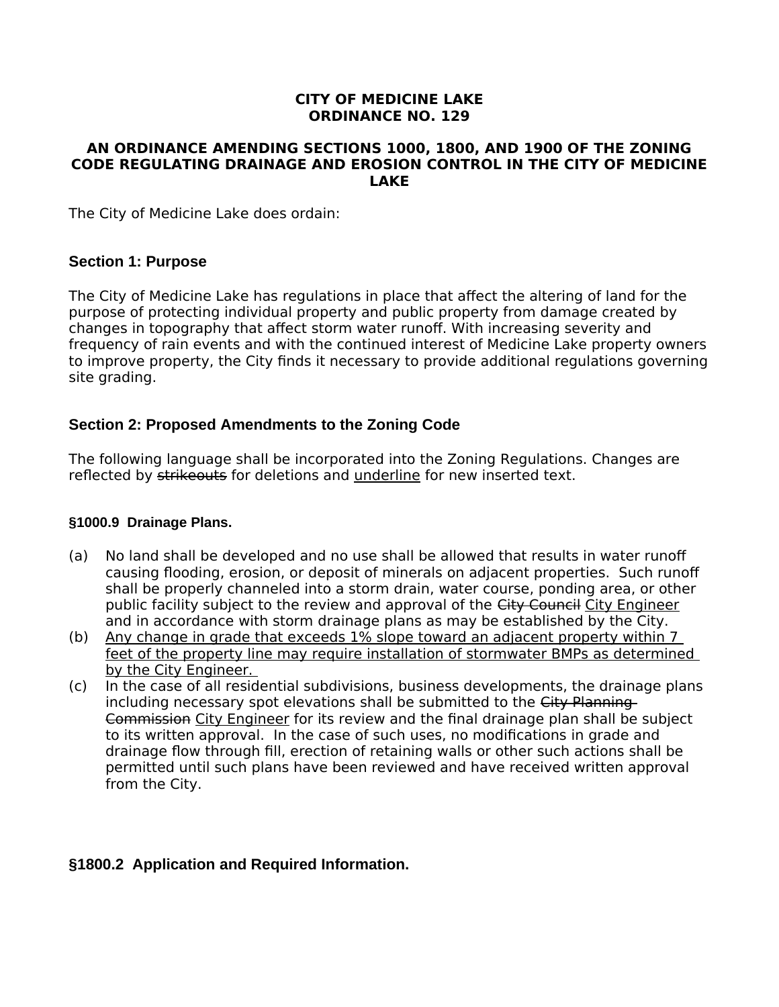### **CITY OF MEDICINE LAKE ORDINANCE NO. 129**

#### **AN ORDINANCE AMENDING SECTIONS 1000, 1800, AND 1900 OF THE ZONING CODE REGULATING DRAINAGE AND EROSION CONTROL IN THE CITY OF MEDICINE LAKE**

The City of Medicine Lake does ordain:

### **Section 1: Purpose**

The City of Medicine Lake has regulations in place that affect the altering of land for the purpose of protecting individual property and public property from damage created by changes in topography that affect storm water runoff. With increasing severity and frequency of rain events and with the continued interest of Medicine Lake property owners to improve property, the City finds it necessary to provide additional regulations governing site grading.

### **Section 2: Proposed Amendments to the Zoning Code**

The following language shall be incorporated into the Zoning Regulations. Changes are reflected by strikeouts for deletions and underline for new inserted text.

#### **§1000.9 Drainage Plans.**

- (a) No land shall be developed and no use shall be allowed that results in water runoff causing flooding, erosion, or deposit of minerals on adjacent properties. Such runoff shall be properly channeled into a storm drain, water course, ponding area, or other public facility subject to the review and approval of the City Council City Engineer and in accordance with storm drainage plans as may be established by the City.
- (b) Any change in grade that exceeds 1% slope toward an adjacent property within 7 feet of the property line may require installation of stormwater BMPs as determined by the City Engineer.
- (c) In the case of all residential subdivisions, business developments, the drainage plans including necessary spot elevations shall be submitted to the City Planning Commission City Engineer for its review and the final drainage plan shall be subject to its written approval. In the case of such uses, no modifications in grade and drainage flow through fill, erection of retaining walls or other such actions shall be permitted until such plans have been reviewed and have received written approval from the City.

# **§1800.2 Application and Required Information.**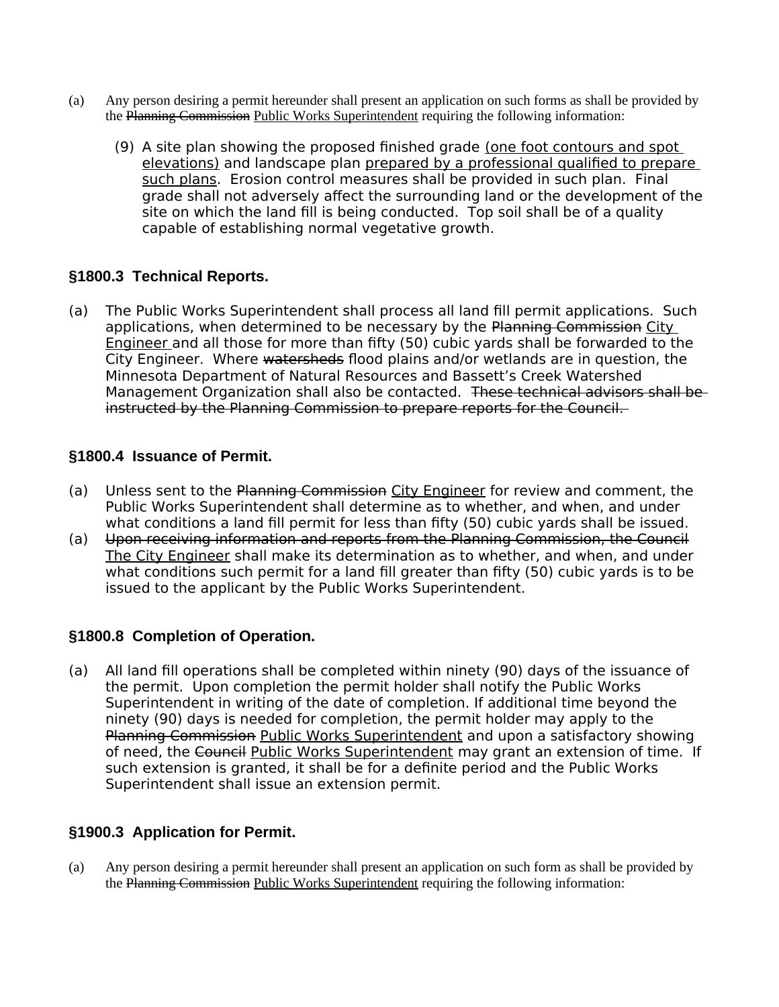- (a) Any person desiring a permit hereunder shall present an application on such forms as shall be provided by the Planning Commission Public Works Superintendent requiring the following information:
	- (9) A site plan showing the proposed finished grade (one foot contours and spot elevations) and landscape plan prepared by a professional qualified to prepare such plans. Erosion control measures shall be provided in such plan. Final grade shall not adversely affect the surrounding land or the development of the site on which the land fill is being conducted. Top soil shall be of a quality capable of establishing normal vegetative growth.

### **§1800.3 Technical Reports.**

(a) The Public Works Superintendent shall process all land fill permit applications. Such applications, when determined to be necessary by the Planning Commission City Engineer and all those for more than fifty (50) cubic yards shall be forwarded to the City Engineer. Where watersheds flood plains and/or wetlands are in question, the Minnesota Department of Natural Resources and Bassett's Creek Watershed Management Organization shall also be contacted. These technical advisors shall be instructed by the Planning Commission to prepare reports for the Council.

### **§1800.4 Issuance of Permit.**

- (a) Unless sent to the Planning Commission City Engineer for review and comment, the Public Works Superintendent shall determine as to whether, and when, and under what conditions a land fill permit for less than fifty (50) cubic yards shall be issued.
- (a) Upon receiving information and reports from the Planning Commission, the Council The City Engineer shall make its determination as to whether, and when, and under what conditions such permit for a land fill greater than fifty (50) cubic yards is to be issued to the applicant by the Public Works Superintendent.

# **§1800.8 Completion of Operation.**

(a) All land fill operations shall be completed within ninety (90) days of the issuance of the permit. Upon completion the permit holder shall notify the Public Works Superintendent in writing of the date of completion. If additional time beyond the ninety (90) days is needed for completion, the permit holder may apply to the Planning Commission Public Works Superintendent and upon a satisfactory showing of need, the Council Public Works Superintendent may grant an extension of time. If such extension is granted, it shall be for a definite period and the Public Works Superintendent shall issue an extension permit.

# **§1900.3 Application for Permit.**

(a) Any person desiring a permit hereunder shall present an application on such form as shall be provided by the Planning Commission Public Works Superintendent requiring the following information: